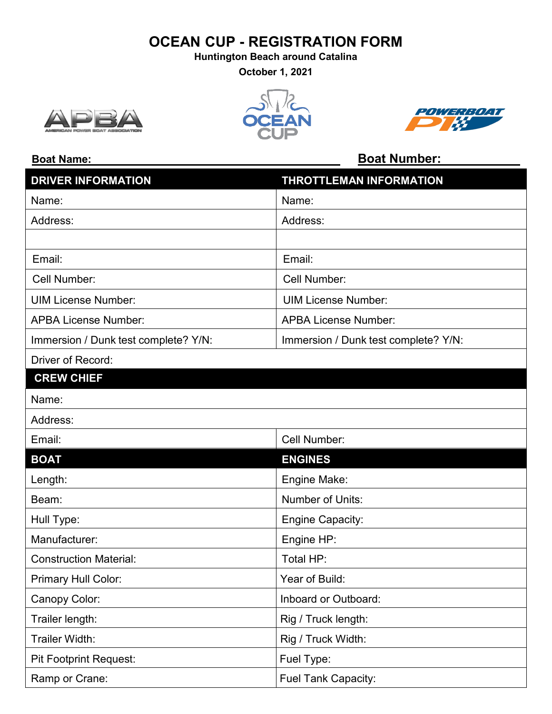# **OCEAN CUP - REGISTRATION FORM**

**Huntington Beach around Catalina**

**October 1, 2021**







### **Boat Name: Boat Number:**

| <b>DRIVER INFORMATION</b>            | THROTTLEMAN INFORMATION              |
|--------------------------------------|--------------------------------------|
| Name:                                | Name:                                |
| Address:                             | Address:                             |
|                                      |                                      |
| Email:                               | Email:                               |
| Cell Number:                         | Cell Number:                         |
| <b>UIM License Number:</b>           | <b>UIM License Number:</b>           |
| <b>APBA License Number:</b>          | <b>APBA License Number:</b>          |
| Immersion / Dunk test complete? Y/N: | Immersion / Dunk test complete? Y/N: |
| Driver of Record:                    |                                      |
| <b>CREW CHIEF</b>                    |                                      |
| Name:                                |                                      |
| Address:                             |                                      |
| Email:                               | Cell Number:                         |
| <b>BOAT</b>                          | <b>ENGINES</b>                       |
| Length:                              | Engine Make:                         |
| Beam:                                | Number of Units:                     |
| Hull Type:                           | <b>Engine Capacity:</b>              |
| Manufacturer:                        | Engine HP:                           |
| <b>Construction Material:</b>        | Total HP:                            |
| Primary Hull Color:                  | Year of Build:                       |
| Canopy Color:                        | Inboard or Outboard:                 |
| Trailer length:                      | Rig / Truck length:                  |
| Trailer Width:                       | Rig / Truck Width:                   |
| <b>Pit Footprint Request:</b>        | Fuel Type:                           |
| Ramp or Crane:                       | Fuel Tank Capacity:                  |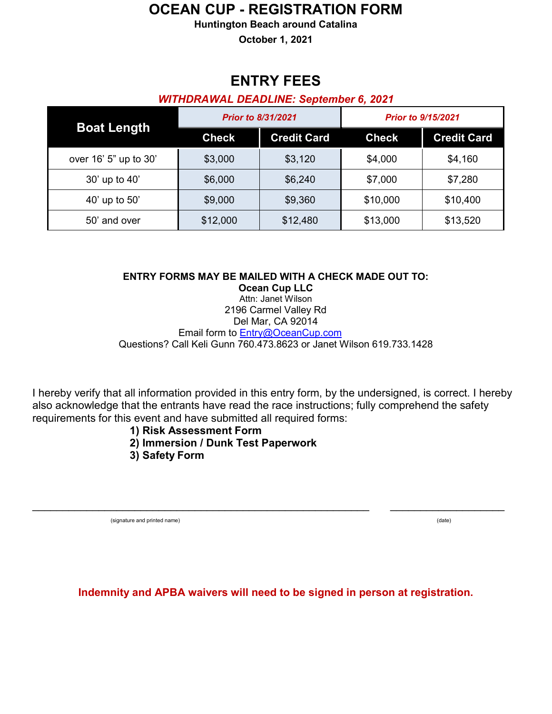## **OCEAN CUP - REGISTRATION FORM**

#### **Huntington Beach around Catalina**

**October 1, 2021**

# **ENTRY FEES**

#### *WITHDRAWAL DEADLINE: September 6, 2021*

| <b>Boat Length</b>    | <b>Prior to 8/31/2021</b> |                    | <b>Prior to 9/15/2021</b> |                    |
|-----------------------|---------------------------|--------------------|---------------------------|--------------------|
|                       | <b>Check</b>              | <b>Credit Card</b> | <b>Check</b>              | <b>Credit Card</b> |
| over 16' 5" up to 30' | \$3,000                   | \$3,120            | \$4,000                   | \$4,160            |
| 30' up to 40'         | \$6,000                   | \$6,240            | \$7,000                   | \$7,280            |
| 40' up to 50'         | \$9,000                   | \$9,360            | \$10,000                  | \$10,400           |
| 50' and over          | \$12,000                  | \$12,480           | \$13,000                  | \$13,520           |

**ENTRY FORMS MAY BE MAILED WITH A CHECK MADE OUT TO: Ocean Cup LLC** Attn: Janet Wilson

2196 Carmel Valley Rd Del Mar, CA 92014 Email form to [Entry@OceanCup.com](mailto:Entry@OceanCup.com) Questions? Call Keli Gunn 760.473.8623 or Janet Wilson 619.733.1428

I hereby verify that all information provided in this entry form, by the undersigned, is correct. I hereby also acknowledge that the entrants have read the race instructions; fully comprehend the safety requirements for this event and have submitted all required forms:

#### **1) Risk Assessment Form**

- **2) Immersion / Dunk Test Paperwork**
- **3) Safety Form**

(signature and printed name) (date)

**Indemnity and APBA waivers will need to be signed in person at registration.**

\_\_\_\_\_\_\_\_\_\_\_\_\_\_\_\_\_\_\_\_\_\_\_\_\_\_\_\_\_\_\_\_\_\_\_\_\_\_\_\_\_\_\_\_\_\_\_\_\_\_\_\_\_\_\_\_ \_\_\_\_\_\_\_\_\_\_\_\_\_\_\_\_\_\_\_